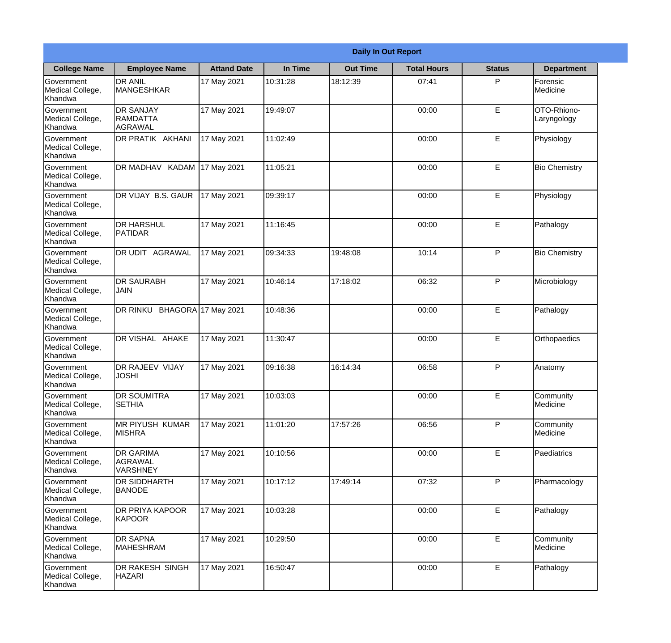|                                                  | <b>Daily In Out Report</b>                            |                    |          |                 |                    |               |                            |  |
|--------------------------------------------------|-------------------------------------------------------|--------------------|----------|-----------------|--------------------|---------------|----------------------------|--|
| <b>College Name</b>                              | <b>Employee Name</b>                                  | <b>Attand Date</b> | In Time  | <b>Out Time</b> | <b>Total Hours</b> | <b>Status</b> | <b>Department</b>          |  |
| Government<br>Medical College,<br>Khandwa        | <b>DR ANIL</b><br><b>MANGESHKAR</b>                   | 17 May 2021        | 10:31:28 | 18:12:39        | 07:41              | P             | Forensic<br>Medicine       |  |
| Government<br>Medical College,<br>Khandwa        | <b>DR SANJAY</b><br><b>RAMDATTA</b><br>AGRAWAL        | 17 May 2021        | 19:49:07 |                 | 00:00              | $\mathsf E$   | OTO-Rhiono-<br>Laryngology |  |
| <b>Government</b><br>Medical College,<br>Khandwa | <b>DR PRATIK AKHANI</b>                               | 17 May 2021        | 11:02:49 |                 | 00:00              | E             | Physiology                 |  |
| <b>Government</b><br>Medical College,<br>Khandwa | <b>DR MADHAV KADAM</b>                                | 17 May 2021        | 11:05:21 |                 | 00:00              | E             | <b>Bio Chemistry</b>       |  |
| Government<br>Medical College,<br>Khandwa        | DR VIJAY B.S. GAUR                                    | 17 May 2021        | 09:39:17 |                 | 00:00              | E             | Physiology                 |  |
| Government<br>Medical College,<br>Khandwa        | <b>DR HARSHUL</b><br>PATIDAR                          | 17 May 2021        | 11:16:45 |                 | 00:00              | E             | Pathalogy                  |  |
| <b>Government</b><br>Medical College,<br>Khandwa | <b>DR UDIT AGRAWAL</b>                                | 17 May 2021        | 09:34:33 | 19:48:08        | 10:14              | P             | <b>Bio Chemistry</b>       |  |
| <b>Government</b><br>Medical College,<br>Khandwa | <b>DR SAURABH</b><br><b>JAIN</b>                      | 17 May 2021        | 10:46:14 | 17:18:02        | 06:32              | P             | Microbiology               |  |
| Government<br>Medical College,<br>Khandwa        | DR RINKU BHAGORA 17 May 2021                          |                    | 10:48:36 |                 | 00:00              | E             | Pathalogy                  |  |
| Government<br>Medical College,<br>Khandwa        | <b>DR VISHAL AHAKE</b>                                | 17 May 2021        | 11:30:47 |                 | 00:00              | E             | Orthopaedics               |  |
| Government<br>Medical College,<br>Khandwa        | <b>DR RAJEEV VIJAY</b><br><b>JOSHI</b>                | 17 May 2021        | 09:16:38 | 16:14:34        | 06:58              | P             | Anatomy                    |  |
| Government<br>Medical College,<br>Khandwa        | <b>DR SOUMITRA</b><br><b>SETHIA</b>                   | 17 May 2021        | 10:03:03 |                 | 00:00              | E             | Community<br>Medicine      |  |
| Government<br>Medical College,<br>Khandwa        | <b>MR PIYUSH KUMAR</b><br><b>MISHRA</b>               | 17 May 2021        | 11:01:20 | 17:57:26        | 06:56              | P             | Community<br>Medicine      |  |
| Government<br>Medical College,<br>Khandwa        | <b>DR GARIMA</b><br><b>AGRAWAL</b><br><b>VARSHNEY</b> | 17 May 2021        | 10:10:56 |                 | 00:00              | $\mathsf E$   | Paediatrics                |  |
| Government<br>Medical College,<br>Khandwa        | DR SIDDHARTH<br><b>BANODE</b>                         | 17 May 2021        | 10:17:12 | 17:49:14        | 07:32              | $\mathsf{P}$  | Pharmacology               |  |
| Government<br>Medical College,<br>Khandwa        | <b>DR PRIYA KAPOOR</b><br>KAPOOR                      | 17 May 2021        | 10:03:28 |                 | 00:00              | E             | Pathalogy                  |  |
| Government<br>Medical College,<br>Khandwa        | <b>DR SAPNA</b><br><b>MAHESHRAM</b>                   | 17 May 2021        | 10:29:50 |                 | 00:00              | E             | Community<br>Medicine      |  |
| Government<br>Medical College,<br>Khandwa        | DR RAKESH SINGH<br><b>HAZARI</b>                      | 17 May 2021        | 16:50:47 |                 | 00:00              | $\mathsf E$   | Pathalogy                  |  |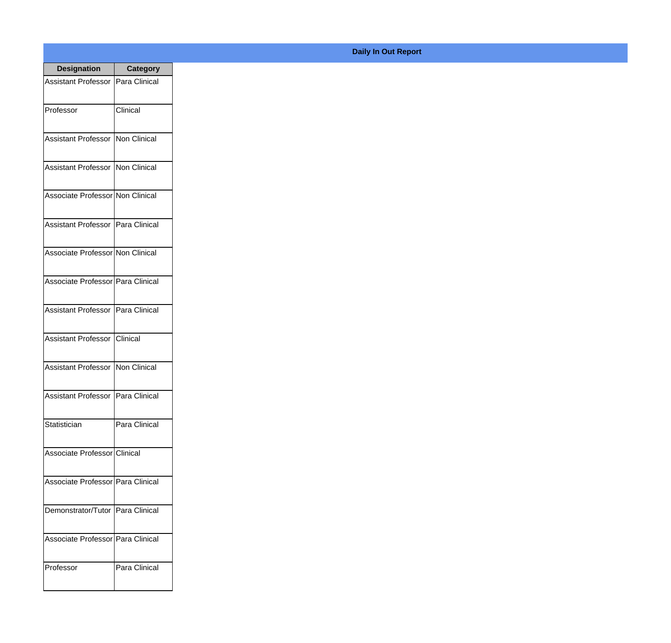| <b>Designation</b>                  | <b>Category</b> |
|-------------------------------------|-----------------|
| Assistant Professor   Para Clinical |                 |
| Professor                           | Clinical        |
| Assistant Professor                 | Non Clinical    |
| Assistant Professor   Non Clinical  |                 |
| Associate Professor Non Clinical    |                 |
| Assistant Professor   Para Clinical |                 |
| Associate Professor Non Clinical    |                 |
| Associate Professor   Para Clinical |                 |
| Assistant Professor   Para Clinical |                 |
| Assistant Professor   Clinical      |                 |
| <b>Assistant Professor</b>          | Non Clinical    |
| Assistant Professor   Para Clinical |                 |
| Statistician                        | Para Clinical   |
| Associate Professor Clinical        |                 |
| Associate Professor Para Clinical   |                 |
| Demonstrator/Tutor   Para Clinical  |                 |
| Associate Professor   Para Clinical |                 |
| Professor                           | Para Clinical   |

**Daily In Out Report**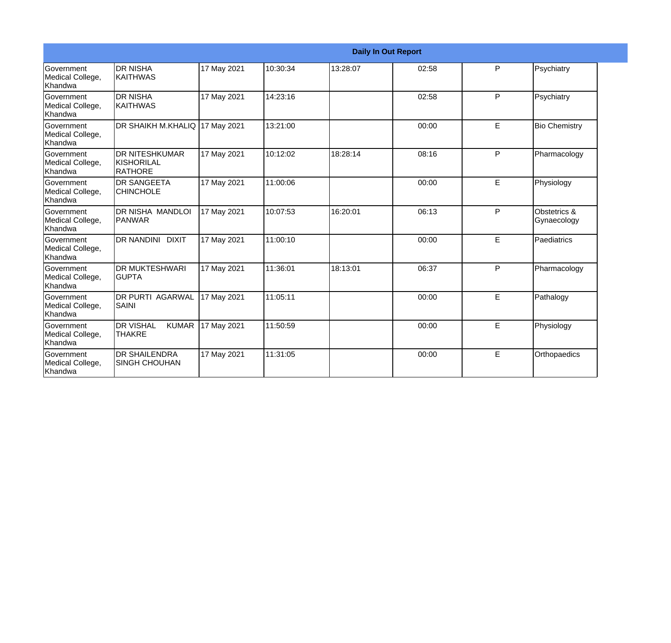|                                           |                                                   |             |          |          | <b>Daily In Out Report</b> |   |                             |
|-------------------------------------------|---------------------------------------------------|-------------|----------|----------|----------------------------|---|-----------------------------|
| Government<br>Medical College,<br>Khandwa | <b>DR NISHA</b><br>IKAITHWAS                      | 17 May 2021 | 10:30:34 | 13:28:07 | 02:58                      | P | Psychiatry                  |
| Government<br>Medical College,<br>Khandwa | <b>DR NISHA</b><br>KAITHWAS                       | 17 May 2021 | 14:23:16 |          | 02:58                      | P | Psychiatry                  |
| Government<br>Medical College,<br>Khandwa | DR SHAIKH M.KHALIQ                                | 17 May 2021 | 13:21:00 |          | 00:00                      | E | <b>Bio Chemistry</b>        |
| Government<br>Medical College,<br>Khandwa | <b>DR NITESHKUMAR</b><br>KISHORILAL<br>RATHORE    | 17 May 2021 | 10:12:02 | 18:28:14 | 08:16                      | P | Pharmacology                |
| Government<br>Medical College,<br>Khandwa | <b>DR SANGEETA</b><br><b>CHINCHOLE</b>            | 17 May 2021 | 11:00:06 |          | 00:00                      | E | Physiology                  |
| Government<br>Medical College,<br>Khandwa | DR NISHA MANDLOI<br>PANWAR                        | 17 May 2021 | 10:07:53 | 16:20:01 | 06:13                      | P | Obstetrics &<br>Gynaecology |
| Government<br>Medical College,<br>Khandwa | DR NANDINI DIXIT                                  | 17 May 2021 | 11:00:10 |          | 00:00                      | E | Paediatrics                 |
| Government<br>Medical College,<br>Khandwa | <b>DR MUKTESHWARI</b><br><b>GUPTA</b>             | 17 May 2021 | 11:36:01 | 18:13:01 | 06:37                      | P | Pharmacology                |
| Government<br>Medical College,<br>Khandwa | <b>DR PURTI AGARWAL</b><br>SAINI                  | 17 May 2021 | 11:05:11 |          | 00:00                      | E | Pathalogy                   |
| Government<br>Medical College,<br>Khandwa | <b>DR VISHAL</b><br><b>KUMAR</b><br><b>THAKRE</b> | 17 May 2021 | 11:50:59 |          | 00:00                      | E | Physiology                  |
| Government<br>Medical College,<br>Khandwa | <b>DR SHAILENDRA</b><br><b>SINGH CHOUHAN</b>      | 17 May 2021 | 11:31:05 |          | 00:00                      | E | Orthopaedics                |